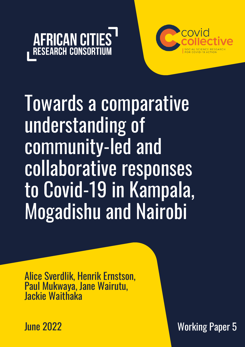



Towards a comparative understanding of community-led and collaborative responses to Covid-19 in Kampala, Mogadishu and Nairobi

Alice Sverdlik, Henrik Ernstson, Paul Mukwaya, Jane Wairutu, Jackie Waithaka

June 2022

Working Paper 5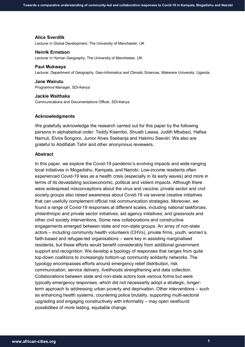#### **Alice Sverdlik**

Lecturer in Global Development, The University of Manchester, UK

#### **Henrik Ernstson**

Lecturer in Human Geography, The University of Manchester, UK

#### **Paul Mukwaya**

Lecturer, Department of Geography, Geo-Informatics and Climatic Sciences, Makerere University, Uganda

#### **Jane Wairutu**

Programme Manager, SDI-Kenya

#### **Jackie Waithaka**

Communications and Documentations Officer, SDI-Kenya

#### **Acknowledgments**

We gratefully acknowledge the research carried out for this paper by the following persons in alphabetical order: Teddy Kisembo, Shuaib Lwasa, Judith Mbabazi, Hafisa Namuli, Elvira Songoro, Junior Alves Ssebanja and Hakimu Sseviiri. We also are grateful to Abdifatah Tahir and other anonymous reviewers.

## **Abstract**

In this paper, we explore the Covid-19 pandemic's evolving impacts and wide-ranging local initiatives in Mogadishu, Kampala, and Nairobi. Low-income residents often experienced Covid-19 less as a health crisis (especially in its early waves) and more in terms of its devastating socioeconomic, political and violent impacts. Although there were widespread misconceptions about the virus and vaccine, private sector and civil society groups also raised awareness about Covid-19 via several creative initiatives that can usefully complement official risk communication strategies. Moreover, we found a range of Covid-19 responses at different scales, including national taskforces; philanthropic and private sector initiatives; aid agency initiatives; and grassroots and other civil society interventions. Some new collaborations and constructive engagements emerged between state and non-state groups. An array of non-state actors – including community health volunteers (CHVs), private firms, youth, women's, faith-based and refugee-led organisations – were key in assisting marginalised residents, but these efforts would benefit considerably from additional government support and recognition. We develop a typology of responses that ranges from quite top-down coalitions to increasingly bottom-up community solidarity networks. The typology encompasses efforts around emergency relief distribution, risk communication, service delivery, livelihoods strengthening and data collection. Collaborations between state and non-state actors took various forms but were typically emergency responses, which did not necessarily adopt a strategic, longerterm approach to addressing urban poverty and deprivation. Other interventions – such as enhancing health systems, countering police brutality, supporting multi-sectoral upgrading and engaging constructively with informality – may open newfound possibilities of more lasting, equitable change.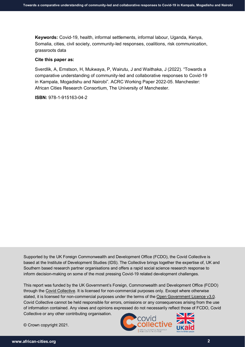**Keywords:** Covid-19, health, informal settlements, informal labour, Uganda, Kenya, Somalia, cities, civil society, community-led responses, coalitions, risk communication, grassroots data

#### **Cite this paper as:**

Sverdlik, A, Ernstson, H, Mukwaya, P, Wairutu, J and Waithaka, J (2022). "Towards a comparative understanding of community-led and collaborative responses to Covid-19 in Kampala, Mogadishu and Nairobi". ACRC Working Paper 2022-05. Manchester: African Cities Research Consortium, The University of Manchester.

**ISBN:** 978-1-915163-04-2

Supported by the UK Foreign Commonwealth and Development Office (FCDO), the Covid Collective is based at the Institute of Development Studies (IDS). The Collective brings together the expertise of, UK and Southern based research partner organisations and offers a rapid social science research response to inform decision-making on some of the most pressing Covid-19 related development challenges.

This report was funded by the UK Government's Foreign, Commonwealth and Development Office (FCDO) through the [Covid Collective.](https://www.ids.ac.uk/projects/covid-collective/) It is licensed for non-commercial purposes only. Except where otherwise stated, it is licensed for non-commercial purposes under the terms of the [Open Government Licence v3.0.](https://www.nationalarchives.gov.uk/doc/open-government-licence/version/3/) Covid Collective cannot be held responsible for errors, omissions or any consequences arising from the use of information contained. Any views and opinions expressed do not necessarily reflect those of FCDO, Covid Collective or any other contributing organisation.

© Crown copyright 2021.

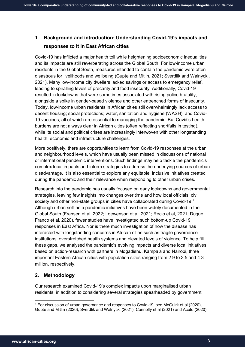# **1. Background and introduction: Understanding Covid-19's impacts and responses to it in East African cities**

Covid-19 has inflicted a major health toll while heightening socioeconomic inequalities and its impacts are still reverberating across the Global South. For low-income urban residents in the Global South, measures intended to contain the pandemic were often disastrous for livelihoods and wellbeing (Gupte and Mitlin, 2021; Sverdlik and Walnycki, 2021). Many low-income city dwellers lacked savings or access to emergency relief, leading to spiralling levels of precarity and food insecurity. Additionally, Covid-19 resulted in lockdowns that were sometimes associated with rising police brutality, alongside a spike in gender-based violence and other entrenched forms of insecurity. Today, low-income urban residents in African cities still overwhelmingly lack access to decent housing; social protections; water, sanitation and hygiene (WASH); and Covid-19 vaccines, all of which are essential to managing the pandemic. But Covid's health burdens are not always clear in African cities (often reflecting shortfalls in testing), while its social and political crises are increasingly interwoven with other longstanding health, economic and infrastructure challenges.

More positively, there are opportunities to learn from Covid-19 responses at the urban and neighbourhood levels, which have usually been missed in discussions of national or international pandemic interventions. Such findings may help tackle the pandemic's complex local impacts and inform strategies to address the underlying sources of urban disadvantage. It is also essential to explore any equitable, inclusive initiatives created during the pandemic and their relevance when responding to other urban crises.

Research into the pandemic has usually focused on early lockdowns and governmental strategies, leaving few insights into changes over time and how local officials, civil society and other non-state groups in cities have collaborated during Covid-[1](#page-3-0)9. $<sup>1</sup>$ </sup> Although urban self-help pandemic initiatives have been widely documented in the Global South (Fransen et al, 2022; Loewenson et al, 2021; Recio et al, 2021; Duque Franco et al*,* 2020), fewer studies have investigated such bottom-up Covid-19 responses in East Africa. Nor is there much investigation of how the disease has interacted with longstanding concerns in African cities such as fragile governance institutions, overstretched health systems and elevated levels of violence. To help fill these gaps, we analysed the pandemic's evolving impacts and diverse local initiatives based on action-research with partners in Mogadishu, Kampala and Nairobi, three important Eastern African cities with population sizes ranging from 2.9 to 3.5 and 4.3 million, respectively.

# **2. Methodology**

Our research examined Covid-19's complex impacts upon marginalised urban residents, in addition to considering several strategies spearheaded by government

<span id="page-3-0"></span><sup>&</sup>lt;sup>1</sup> For discussion of urban governance and responses to Covid-19, see McGuirk et al (2020). Gupte and Mitlin (2020), Sverdlik and Walnycki (2021), Connolly et al (2021) and Acuto (2020).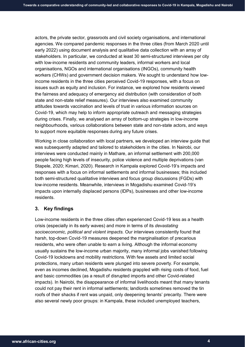actors, the private sector, grassroots and civil society organisations, and international agencies. We compared pandemic responses in the three cities (from March 2020 until early 2022) using document analysis and qualitative data collection with an array of stakeholders. In particular, we conducted at least 30 semi-structured interviews per city with low-income residents and community leaders, informal workers and local organisations, NGOs and international organisations (INGOs), community health workers (CHWs) and government decision makers. We sought to understand how lowincome residents in the three cities perceived Covid-19 responses, with a focus on issues such as equity and inclusion. For instance, we explored how residents viewed the fairness and adequacy of emergency aid distribution (with consideration of both state and non-state relief measures). Our interviews also examined community attitudes towards vaccination and levels of trust in various information sources on Covid-19, which may help to inform appropriate outreach and messaging strategies during crises. Finally, we analysed an array of bottom-up strategies in low-income neighbourhoods, various collaborations between state and non-state actors, and ways to support more equitable responses during any future crises.

Working in close collaboration with local partners, we developed an interview guide that was subsequently adapted and tailored to stakeholders in the cities. In Nairobi, our interviews were conducted mainly in Mathare, an informal settlement with 200,000 people facing high levels of insecurity, police violence and multiple deprivations (van Stapele, 2020; Kimari, 2020). Research in Kampala explored Covid-19's impacts and responses with a focus on informal settlements and informal businesses; this included both semi-structured qualitative interviews and focus group discussions (FGDs) with low-income residents. Meanwhile, interviews in Mogadishu examined Covid-19's impacts upon internally displaced persons (IDPs), businesses and other low-income residents.

# **3. Key findings**

Low-income residents in the three cities often experienced Covid-19 less as a health crisis (especially in its early waves) and more in terms of its *devastating socioeconomic, political and violent impacts.* Our interviews consistently found that harsh, top-down Covid-19 measures deepened the marginalisation of precarious residents, who were often unable to earn a living. Although the informal economy usually sustains the low-income urban majority, many informal jobs vanished following Covid-19 lockdowns and mobility restrictions. With few assets and limited social protections, many urban residents were plunged into severe poverty. For example, even as incomes declined, Mogadishu residents grappled with rising costs of food, fuel and basic commodities (as a result of disrupted imports and other Covid-related impacts). In Nairobi, the disappearance of informal livelihoods meant that many tenants could not pay their rent in informal settlements; landlords sometimes removed the tin roofs of their shacks if rent was unpaid, only deepening tenants' precarity. There were also several newly poor groups: in Kampala, these included unemployed teachers,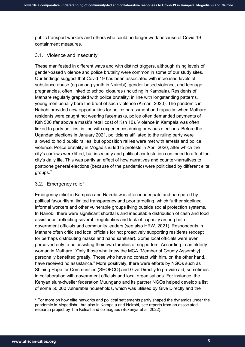public transport workers and others who could no longer work because of Covid-19 containment measures.

#### 3.1. Violence and insecurity

These manifested in different ways and with distinct triggers, although rising levels of gender-based violence and police brutality were common in some of our study sites. Our findings suggest that Covid-19 has been associated with increased levels of substance abuse (eg among youth in Nairobi), gender-based violence, and teenage pregnancies, often linked to school closures (including in Kampala). Residents of Mathare regularly grappled with police brutality; in line with longstanding patterns, young men usually bore the brunt of such violence (Kimari, 2020). The pandemic in Nairobi provided new opportunities for police harassment and rapacity: when Mathare residents were caught not wearing facemasks, police often demanded payments of Ksh 500 (far above a mask's retail cost of Ksh 10). Violence in Kampala was often linked to party politics, in line with experiences during previous elections. Before the Ugandan elections in January 2021, politicians affiliated to the ruling party were allowed to hold public rallies, but opposition rallies were met with arrests and police violence. Police brutality in Mogadishu led to protests in April 2020, after which the city's curfews were lifted, but insecurity and political contestation continued to affect the city's daily life. This was partly an effect of how narratives and counter-narratives to postpone general elections (because of the pandemic) were politicised by different elite groups.[2](#page-5-0)

#### 3.2. Emergency relief

Emergency relief in Kampala and Nairobi was often inadequate and hampered by political favouritism, limited transparency and poor targeting, which further sidelined informal workers and other vulnerable groups living outside social protection systems. In Nairobi, there were significant shortfalls and inequitable distribution of cash and food assistance, reflecting several irregularities and lack of capacity among both government officials and community leaders (see also HRW, 2021). Respondents in Mathare often criticised local officials for not proactively supporting residents (except for perhaps distributing masks and hand sanitiser). Some local officials were even perceived only to be assisting their own families or supporters. According to an elderly woman in Mathare, "Only those who knew the MCA [Member of County Assembly] personally benefited greatly. Those who have no contact with him, on the other hand, have received no assistance." More positively, there were efforts by NGOs such as Shining Hope for Communities (SHOFCO) and Give Directly to provide aid, sometimes in collaboration with government officials and local organisations. For instance, the Kenyan slum-dweller federation Muungano and its partner NGOs helped develop a list of some 50,000 vulnerable households, which was utilised by Give Directly and the

<span id="page-5-0"></span> $2$  For more on how elite networks and political settlements partly shaped the dynamics under the pandemic in Mogadishu, but also in Kampala and Nairobi, see reports from an associated research project by Tim Kelsall and colleagues (Bukenya et al, 2022).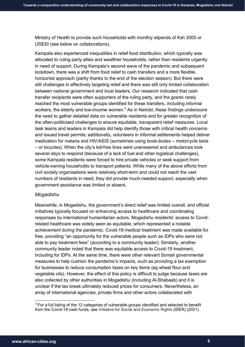Ministry of Health to provide such households with monthly stipends of Ksh 3000 or US\$30 (see below on collaborations).

Kampala also experienced inequalities in relief food distribution, which typically was allocated to ruling party allies and wealthier households, rather than residents urgently in need of support. During Kampala's second wave of the pandemic and subsequent lockdown, there was a shift from food relief to cash transfers and a more flexible, horizontal approach (partly thanks to the end of the election season). But there were still challenges in effectively targeting relief and there was still only limited collaboration between national government and local leaders. Our research indicated that cash transfer recipients were often supporters of the ruling party, and the grants rarely reached the most vulnerable groups identified for these transfers, including informal workers, the elderly and low-income women.<sup>3</sup> As in Nairobi, these findings underscore the need to gather detailed data on vulnerable residents and for greater recognition of the often-politicised challenges to ensure equitable, transparent relief measures. Local task teams and leaders in Kampala did help identify those with critical health concerns and issued travel permits; additionally, volunteers in informal settlements helped deliver medication for malaria and HIV/AIDS (sometimes using *boda-bodas* – motorcycle taxis – or bicycles). When the city's toll-free lines went unanswered and ambulances took several days to respond (because of a lack of fuel and other logistical challenges), some Kampala residents were forced to hire private vehicles or seek support from vehicle-owning households to transport patients. While many of the above efforts from civil society organisations were relatively short-term and could not reach the vast numbers of residents in need, they did provide much-needed support, especially when government assistance was limited or absent.

## *Mogadishu*

Meanwhile, in Mogadishu, the government's direct relief was limited overall, and official initiatives typically focused on enhancing access to healthcare and coordinating responses by international humanitarian actors. Mogadishu residents' access to Covidrelated healthcare was widely seen as equitable, which represented a notable achievement during the pandemic. Covid-19 medical treatment was made available for free, providing "an opportunity for the vulnerable people such as IDPs who were not able to pay treatment fees" (according to a community leader). Similarly, another community leader noted that there was equitable access to Covid-19 treatment, including for IDPs. At the same time, there were other relevant Somali governmental measures to help cushion the pandemic's impacts, such as providing a tax exemption for businesses to reduce consumption taxes on key items (eg wheat flour and vegetable oils). However, the effect of this policy is difficult to judge because taxes are also collected by other authorities in Mogadishu (including Al-Shabaab) and it is unclear if the tax break ultimately reduced prices for consumers. Nevertheless, an array of international agencies, private firms and other actors collaborated with

-

<span id="page-6-0"></span> $3$  For a full listing of the 12 categories of vulnerable groups identified and selected to benefit from the Covid-19 cash funds, see Initiative for Social and Economic Rights (ISER) (2021).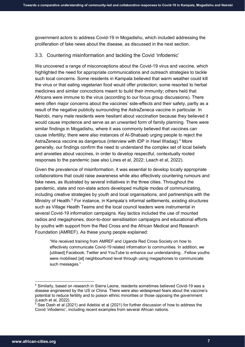government actors to address Covid-19 in Mogadishu, which included addressing the proliferation of fake news about the disease, as discussed in the next section.

# 3.3. Countering misinformation and tackling the Covid 'infodemic'

We uncovered a range of misconceptions about the Covid-19 virus and vaccine, which highlighted the need for appropriate communications and outreach strategies to tackle such local concerns. Some residents in Kampala believed that warm weather could kill the virus or that eating vegetarian food would offer protection; some resorted to herbal medicines and similar concoctions meant to build their immunity; others held that Africans were immune to the virus (according to our focus group discussions). There were often major concerns about the vaccines' side-effects and their safety, partly as a result of the negative publicity surrounding the AstraZeneca vaccine in particular. In Nairobi, many male residents were hesitant about vaccination because they believed it would cause impotence and serve as an unwanted form of family planning. There were similar findings in Mogadishu, where it was commonly believed that vaccines can cause infertility; there were also instances of Al-Shabaab urging people to reject the AstraZeneca vaccine as dangerous (interview with IDP in Hawl Wadag).<sup>[4](#page-7-0)</sup> More generally, our findings confirm the need to understand the complex set of local beliefs and anxieties about vaccines, in order to develop respectful, contextually rooted responses to the pandemic (see also Lines et al, 2022; Leach et al, 2022).

Given the prevalence of misinformation, it was essential to develop locally appropriate collaborations that could raise awareness while also effectively countering rumours and fake news, as illustrated by several initiatives in the three cities. Throughout the pandemic, state and non-state actors developed multiple modes of communicating, including creative strategies by youth and local organisations, and partnerships with the Ministry of Health.<sup>[5](#page-7-1)</sup> For instance, in Kampala's informal settlements, existing structures such as Village Health Teams and the local council leaders were instrumental in several Covid-19 information campaigns. Key tactics included the use of mounted radios and megaphones, door-to-door sensitisation campaigns and educational efforts by youths with support from the Red Cross and the African Medical and Research Foundation (AMREF). As these young people explained:

"We received training from AMREF and Uganda Red Cross Society on how to effectively communicate Covid-19 related information to communities. In addition, we [utilised] Facebook, Twitter and YouTube to enhance our understanding…Fellow youths were mobilised [at] neighbourhood level through using megaphones to communicate such messages."

<span id="page-7-0"></span> <sup>4</sup> Similarly, based on research in Sierra Leone, residents sometimes believed Covid-19 was a disease engineered by the US or China. There were also widespread fears about the vaccine's potential to reduce fertility and to poison ethnic minorities or those opposing the government (Leach et al, 2022).

<span id="page-7-1"></span> $5$  See Dash et al (2021) and Adebisi et al (2021) for further discussion of how to address the Covid 'infodemic', including recent examples from several African nations.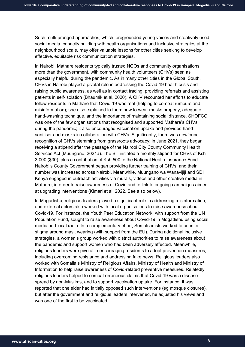Such multi-pronged approaches, which foregrounded young voices and creatively used social media, capacity building with health organisations and inclusive strategies at the neighbourhood scale, may offer valuable lessons for other cities seeking to develop effective, equitable risk communication strategies.

In Nairobi, Mathare residents typically trusted NGOs and community organisations more than the government, with community health volunteers (CHVs) seen as especially helpful during the pandemic. As in many other cities in the Global South, CHVs in Nairobi played a pivotal role in addressing the Covid-19 health crisis and raising public awareness, as well as in contact tracing, providing referrals and assisting patients in self-isolation (Bhaumik et al, 2020). A CHV recounted her efforts to educate fellow residents in Mathare that Covid-19 was real (helping to combat rumours and misinformation); she also explained to them how to wear masks properly, adequate hand-washing technique, and the importance of maintaining social distance. SHOFCO was one of the few organisations that recognised and supported Mathare's CHVs during the pandemic; it also encouraged vaccination uptake and provided hand sanitiser and masks in collaboration with CHVs. Significantly, there was newfound recognition of CHVs stemming from grassroots advocacy: in June 2021, they began receiving a stipend after the passage of the Nairobi City County Community Health Services Act (Muungano, 2021a). The Bill initiated a monthly stipend for CHVs of Ksh 3,000 (\$30), plus a contribution of Ksh 500 to the National Health Insurance Fund. Nairobi's County Government began providing further training of CHVs, and their number was increased across Nairobi. Meanwhile, Muungano wa Wanavijiji and SDI Kenya engaged in outreach activities via murals, videos and other creative media in Mathare, in order to raise awareness of Covid and to link to ongoing campaigns aimed at upgrading interventions (Kimari et al, 2022. See also below).

In Mogadishu, religious leaders played a significant role in addressing misinformation, and external actors also worked with local organisations to raise awareness about Covid-19. For instance, the Youth Peer Education Network, with support from the UN Population Fund, sought to raise awareness about Covid-19 in Mogadishu using social media and local radio. In a complementary effort, Somali artists worked to counter stigma around mask wearing (with support from the EU). During additional inclusive strategies, a women's group worked with district authorities to raise awareness about the pandemic and support women who had been adversely affected. Meanwhile, religious leaders were pivotal in encouraging residents to adopt prevention measures, including overcoming resistance and addressing fake news. Religious leaders also worked with Somalia's Ministry of Religious Affairs, Ministry of Health and Ministry of Information to help raise awareness of Covid-related preventive measures. Relatedly, religious leaders helped to combat erroneous claims that Covid-19 was a disease spread by non-Muslims, and to support vaccination uptake. For instance, it was reported that one elder had initially opposed such interventions (eg mosque closures), but after the government and religious leaders intervened, he adjusted his views and was one of the first to be vaccinated.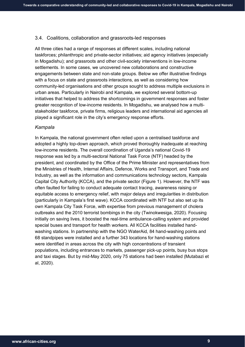## 3.4. Coalitions, collaboration and grassroots-led responses

All three cities had a range of responses at different scales, including national taskforces; philanthropic and private-sector initiatives; aid agency initiatives (especially in Mogadishu); and grassroots and other civil-society interventions in low-income settlements. In some cases, we uncovered new collaborations and constructive engagements between state and non-state groups. Below we offer illustrative findings with a focus on state and grassroots interactions, as well as considering how community-led organisations and other groups sought to address multiple exclusions in urban areas. Particularly in Nairobi and Kampala, we explored several bottom-up initiatives that helped to address the shortcomings in government responses and foster greater recognition of low-income residents. In Mogadishu, we analysed how a multistakeholder taskforce, private firms, religious leaders and international aid agencies all played a significant role in the city's emergency response efforts.

## *Kampala*

In Kampala, the national government often relied upon a centralised taskforce and adopted a highly top-down approach, which proved thoroughly inadequate at reaching low-income residents. The overall coordination of Uganda's national Covid-19 response was led by a multi-sectoral National Task Force (NTF) headed by the president, and coordinated by the Office of the Prime Minister and representatives from the Ministries of Health, Internal Affairs, Defence, Works and Transport, and Trade and Industry, as well as the information and communications technology sectors, Kampala Capital City Authority (KCCA), and the private sector (Figure 1). However, the NTF was often faulted for failing to conduct adequate contact tracing, awareness raising or equitable access to emergency relief, with major delays and irregularities in distribution (particularly in Kampala's first wave). KCCA coordinated with NTF but also set up its own Kampala City Task Force, with expertise from previous management of cholera outbreaks and the 2010 terrorist bombings in the city (Twinokwesiga, 2020). Focusing initially on saving lives, it boosted the real-time ambulance-calling system and provided special buses and transport for health workers. All KCCA facilities installed handwashing stations. In partnership with the NGO WaterAid, 84 hand-washing points and 68 standpipes were installed and a further 343 locations for hand-washing stations were identified in areas across the city with high concentrations of transient populations, including entrances to markets, passenger pick-up points, busy bus stops and taxi stages. But by mid-May 2020, only 75 stations had been installed (Mutabazi et al, 2020).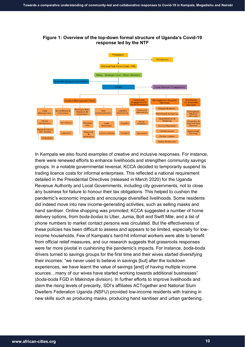

v & Security

# **Figure 1: Overview of the top-down formal structure of Uganda's Covid-19 response led by the NTF**

In Kampala we also found examples of creative and inclusive responses. For instance, there were renewed efforts to enhance livelihoods and strengthen community savings groups. In a notable governmental reversal, KCCA decided to temporarily suspend its trading licence costs for informal enterprises. This reflected a national requirement detailed in the Presidential Directives (released in March 2020) for the Uganda Revenue Authority and Local Governments, including city governments, not to close any business for failure to honour their tax obligations. This helped to cushion the pandemic's economic impacts and encourage diversified livelihoods. Some residents did indeed move into new income-generating activities, such as selling masks and hand sanitiser. Online shopping was promoted; KCCA suggested a number of home delivery options, from *boda-bodas* to Uber, Jumia, Bolt and Swift Mile; and a list of phone numbers to market contact persons was circulated. But the effectiveness of these policies has been difficult to assess and appears to be limited, especially for lowincome households. Few of Kampala's hard-hit informal workers were able to benefit from official relief measures, and our research suggests that grassroots responses were far more pivotal in cushioning the pandemic's impacts. For instance, *boda-boda* drivers turned to savings groups for the first time and their wives started diversifying their incomes: "we never used to believe in savings [but] after the lockdown experiences, we have learnt the value of savings [and] of having multiple income sources…many of our wives have started working towards additional businesses" (*boda-boda* FGD in Makindye division). In further efforts to improve livelihoods and stem the rising levels of precarity, SDI's affiliates ACTogether and National Slum Dwellers Federation Uganda (NSFU) provided low-income residents with training in new skills such as producing masks, producing hand sanitiser and urban gardening.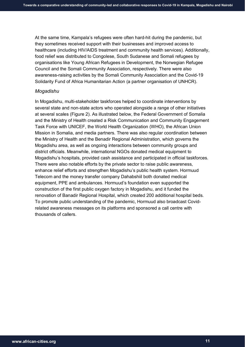At the same time, Kampala's refugees were often hard-hit during the pandemic, but they sometimes received support with their businesses and improved access to healthcare (including HIV/AIDS treatment and community health services). Additionally, food relief was distributed to Congolese, South Sudanese and Somali refugees by organisations like Young African Refugees in Development, the Norwegian Refugee Council and the Somali Community Association, respectively. There were also awareness-raising activities by the Somali Community Association and the Covid-19 Solidarity Fund of Africa Humanitarian Action (a partner organisation of UNHCR).

#### *Mogadishu*

In Mogadishu, multi-stakeholder taskforces helped to coordinate interventions by several state and non-state actors who operated alongside a range of other initiatives at several scales (Figure 2). As illustrated below, the Federal Government of Somalia and the Ministry of Health created a Risk Communication and Community Engagement Task Force with UNICEF, the World Health Organization (WHO), the African Union Mission in Somalia, and media partners. There was also regular coordination between the Ministry of Health and the Benadir Regional Administration, which governs the Mogadishu area, as well as ongoing interactions between community groups and district officials. Meanwhile, international NGOs donated medical equipment to Mogadishu's hospitals, provided cash assistance and participated in official taskforces. There were also notable efforts by the private sector to raise public awareness, enhance relief efforts and strengthen Mogadishu's public health system. Hormuud Telecom and the money transfer company Dahabshiil both donated medical equipment, PPE and ambulances. Hormuud's foundation even supported the construction of the first public oxygen factory in Mogadishu, and it funded the renovation of Banadir Regional Hospital, which created 200 additional hospital beds. To promote public understanding of the pandemic, Hormuud also broadcast Covidrelated awareness messages on its platforms and sponsored a call centre with thousands of callers.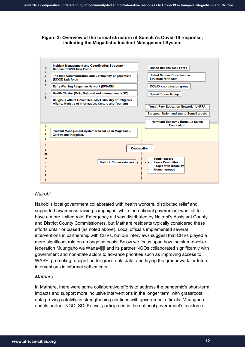# **Figure 2: Overview of the formal structure of Somalia's Covid-19 response, including the Mogadishu Incident Management System**



# *Nairobi*

Nairobi's local government collaborated with health workers, distributed relief and supported awareness-raising campaigns, while the national government was felt to have a more limited role. Emergency aid was distributed by Nairobi's Assistant County and District County Commissioners, but Mathare residents typically considered these efforts unfair or biased (as noted above). Local officials implemented several interventions in partnership with CHVs, but our interviews suggest that CHVs played a more significant role on an ongoing basis. Below we focus upon how the slum-dweller federation Muungano wa Wanavijiji and its partner NGOs collaborated significantly with government and non-state actors to advance priorities such as improving access to WASH, promoting recognition for grassroots data, and laying the groundwork for future interventions in informal settlements.

## *Mathare*

In Mathare, there were some collaborative efforts to address the pandemic's short-term impacts and support more inclusive interventions in the longer term, with grassroots data proving catalytic in strengthening relations with government officials. Muungano and its partner NGO, SDI Kenya, participated in the national government's taskforce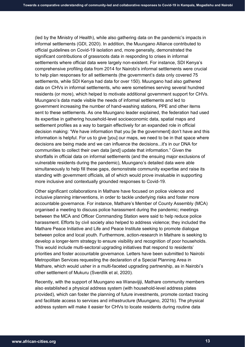(led by the Ministry of Health), while also gathering data on the pandemic's impacts in informal settlements (GDI, 2020). In addition, the Muungano Alliance contributed to official guidelines on Covid-19 isolation and, more generally, demonstrated the significant contributions of grassroots data in responding to crises in informal settlements where official data were largely non-existent. For instance, SDI Kenya's comprehensive profiling data from 2014 for Nairobi's informal settlements were crucial to help plan responses for all settlements (the government's data only covered 75 settlements, while SDI Kenya had data for over 150). Muungano had also gathered data on CHVs in informal settlements, who were sometimes serving several hundred residents (or more), which helped to motivate additional government support for CHVs. Muungano's data made visible the needs of informal settlements and led to government increasing the number of hand-washing stations, PPE and other items sent to these settlements. As one Muungano leader explained, the federation had used its expertise in gathering household-level socioeconomic data, spatial maps and settlement profiles as a way to bargain effectively for an expanded role in official decision making: "We have information that you [ie the government] don't have and this information is helpful. For us to give [you] our maps, we need to be in that space where decisions are being made and we can influence the decisions...it's in our DNA for communities to collect their own data [and] update that information." Given the shortfalls in official data on informal settlements (and the ensuing major exclusions of vulnerable residents during the pandemic), Muungano's detailed data were able simultaneously to help fill these gaps, demonstrate community expertise and raise its standing with government officials, all of which would prove invaluable in supporting more inclusive and contextually grounded responses to Covid-19.

Other significant collaborations in Mathare have focused on police violence and inclusive planning interventions, in order to tackle underlying risks and foster more accountable governance. For instance, Mathare's Member of County Assembly (MCA) organised a meeting to discuss police harassment during the pandemic; meetings between the MCA and Officer Commanding Station were said to help reduce police harassment. Efforts by civil society also helped to address violence; they included the Mathare Peace Initiative and Life and Peace Institute seeking to promote dialogue between police and local youth. Furthermore, action-research in Mathare is seeking to develop a longer-term strategy to ensure visibility and recognition of poor households. This would include multi-sectoral upgrading initiatives that respond to residents' priorities and foster accountable governance. Letters have been submitted to Nairobi Metropolitan Services requesting the declaration of a Special Planning Area in Mathare, which would usher in a multi-faceted upgrading partnership, as in Nairobi's other settlement of Mukuru (Sverdlik et al, 2020).

Recently, with the support of Muungano wa Wanavijiji, Mathare community members also established a physical address system (with household-level address plates provided), which can foster the planning of future investments, promote contact tracing and facilitate access to services and infrastructure (Muungano, 2021b). The physical address system will make it easier for CHVs to locate residents during routine data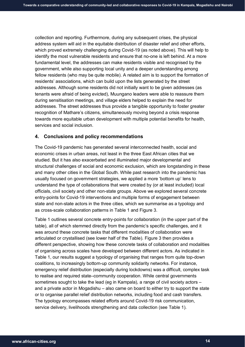collection and reporting. Furthermore, during any subsequent crises, the physical address system will aid in the equitable distribution of disaster relief and other efforts, which proved extremely challenging during Covid-19 (as noted above). This will help to identify the most vulnerable residents and ensure that no-one is left behind. At a more fundamental level, the addresses can make residents visible and recognised by the government, while also supporting local unity and a deeper understanding among fellow residents (who may be quite mobile). A related aim is to support the formation of residents' associations, which can build upon the lists generated by the street addresses. Although some residents did not initially want to be given addresses (as tenants were afraid of being evicted), Muungano leaders were able to reassure them during sensitisation meetings, and village elders helped to explain the need for addresses. The street addresses thus provide a tangible opportunity to foster greater recognition of Mathare's citizens, simultaneously moving beyond a crisis response towards more equitable urban development with multiple potential benefits for health, services and social inclusion.

# **4. Conclusions and policy recommendations**

The Covid-19 pandemic has generated several interconnected health, social and economic crises in urban areas, not least in the three East African cities that we studied. But it has also exacerbated and illuminated major developmental and structural challenges of social and economic exclusion, which are longstanding in these and many other cities in the Global South. While past research into the pandemic has usually focused on government strategies, we applied a more 'bottom up' lens to understand the type of collaborations that were created by (or at least included) local officials, civil society and other non-state groups. Above we explored several concrete entry-points for Covid-19 interventions and multiple forms of engagement between state and non-state actors in the three cities, which we summarise as a typology and as cross-scale collaboration patterns in Table 1 and Figure 3.

Table 1 outlines several concrete entry-points for collaboration (in the upper part of the table), all of which stemmed directly from the pandemic's specific challenges, and it was around these concrete tasks that different modalities of collaboration were articulated or crystallised (see lower half of the Table). Figure 3 then provides a different perspective, showing how these concrete tasks of collaboration and modalities of organising across scales have developed between different actors. As indicated in Table 1, our results suggest a typology of organising that ranges from quite top-down coalitions, to increasingly bottom-up community solidarity networks. For instance, emergency relief distribution (especially during lockdowns) was a difficult, complex task to realise and required state–community cooperation. While central governments sometimes sought to take the lead (eg in Kampala), a range of civil society actors – and a private actor in Mogadishu – also came on board to either try to support the state or to organise parallel relief distribution networks, including food and cash transfers. The typology encompasses related efforts around Covid-19 risk communication, service delivery, livelihoods strengthening and data collection (see Table 1).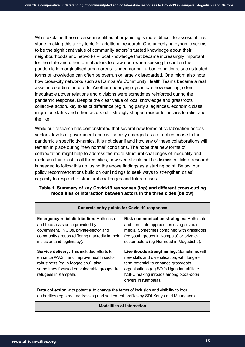What explains these diverse modalities of organising is more difficult to assess at this stage, making this a key topic for additional research. One underlying dynamic seems to be the significant value of community actors' situated knowledge about their neighbourhoods and networks – local knowledge that became increasingly important for the state and other formal actors to draw upon when seeking to contain the pandemic in marginalised urban areas. Under 'normal' urban conditions, such situated forms of knowledge can often be overrun or largely disregarded. One might also note how cross-city networks such as Kampala's Community Health Teams became a real asset in coordination efforts. Another underlying dynamic is how existing, often inequitable power relations and divisions were sometimes reinforced during the pandemic response. Despite the clear value of local knowledge and grassroots collective action, key axes of difference (eg ruling party allegiances, economic class, migration status and other factors) still strongly shaped residents' access to relief and the like.

While our research has demonstrated that several new forms of collaboration across sectors, levels of government and civil society emerged as a direct response to the pandemic's specific dynamics, it is not clear if and how any of these collaborations will remain in place during 'new normal' conditions. The hope that new forms of collaboration might help to address the more structural challenges of inequality and exclusion that exist in all three cities, however, should not be dismissed. More research is needed to follow this up, using the above findings as a starting point. Below, our policy recommendations build on our findings to seek ways to strengthen cities' capacity to respond to structural challenges and future crises.

# **Table 1. Summary of key Covid-19 responses (top) and different cross-cutting modalities of interaction between actors in the three cities (below)**

| Emergency relief distribution: Both cash<br>and food assistance provided by<br>government, INGOs, private-sector and<br>community groups (differing markedly in their<br>inclusion and legitimacy).      | <b>Risk communication strategies: Both state</b><br>and non-state approaches using several<br>media. Sometimes combined with grassroots<br>(eg youth groups in Kampala) or private-<br>sector actors (eg Hormuud in Mogadishu).               |
|----------------------------------------------------------------------------------------------------------------------------------------------------------------------------------------------------------|-----------------------------------------------------------------------------------------------------------------------------------------------------------------------------------------------------------------------------------------------|
| <b>Service delivery:</b> This included efforts to<br>enhance WASH and improve health sector<br>robustness (eg in Mogadishu), also<br>sometimes focused on vulnerable groups like<br>refugees in Kampala. | Livelihoods strengthening: Sometimes with<br>new skills and diversification, with longer-<br>term potential to enhance grassroots<br>organisations (eg SDI's Ugandan affiliate<br>NSFU making inroads among boda-boda<br>drivers in Kampala). |
| Data collection with potential to change the terms of inclusion and visibility to local<br>authorities (eg street addressing and settlement profiles by SDI Kenya and Muungano).                         |                                                                                                                                                                                                                                               |

## **Concrete entry-points for Covid-19 responses**

## **Modalities of interaction**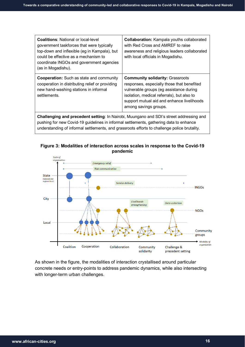| <b>Coalitions:</b> National or local-level<br>government taskforces that were typically<br>top-down and inflexible (eg in Kampala), but<br>could be effective as a mechanism to<br>coordinate INGOs and government agencies<br>(as in Mogadishu). | <b>Collaboration:</b> Kampala youths collaborated<br>with Red Cross and AMREF to raise<br>awareness and religious leaders collaborated<br>with local officials in Mogadishu.                                                                          |
|---------------------------------------------------------------------------------------------------------------------------------------------------------------------------------------------------------------------------------------------------|-------------------------------------------------------------------------------------------------------------------------------------------------------------------------------------------------------------------------------------------------------|
| <b>Cooperation:</b> Such as state and community<br>cooperation in distributing relief or providing<br>new hand-washing stations in informal<br>settlements.                                                                                       | <b>Community solidarity: Grassroots</b><br>responses, especially those that benefited<br>vulnerable groups (eg assistance during<br>isolation, medical referrals), but also to<br>support mutual aid and enhance livelihoods<br>among savings groups. |
| Challenging and precedent setting: In Nairobi, Muungano and SDI's street addressing and<br>pushing for new Covid-19 guidelines in informal settlements, gathering data to enhance                                                                 |                                                                                                                                                                                                                                                       |

**Figure 3: Modalities of interaction across scales in response to the Covid-19 pandemic**

understanding of informal settlements, and grassroots efforts to challenge police brutality.



As shown in the figure, the modalities of interaction crystallised around particular concrete needs or entry-points to address pandemic dynamics, while also intersecting with longer-term urban challenges.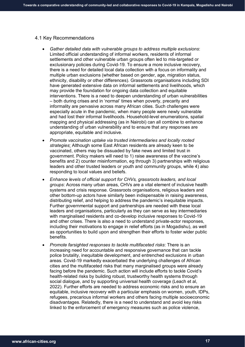#### 4.1 Key Recommendations

- *Gather detailed data with vulnerable groups to address multiple exclusions*: Limited official understanding of informal workers, residents of informal settlements and other vulnerable urban groups often led to mis-targeted or exclusionary policies during Covid-19. To ensure a more inclusive recovery, there is a need for detailed local data collection with a focus on informality and multiple urban exclusions (whether based on gender, age, migration status, ethnicity, disability or other differences). Grassroots organisations including SDI have generated extensive data on informal settlements and livelihoods, which may provide the foundation for ongoing data collection and equitable interventions. There is a need to deepen understanding of urban vulnerabilities – both during crises and in 'normal' times when poverty, precarity and informality are pervasive across many African cities. Such challenges were especially acute in the pandemic, when many people were newly vulnerable and had lost their informal livelihoods. Household-level enumerations, spatial mapping and physical addressing (as in Nairobi) can all combine to enhance understanding of urban vulnerability and to ensure that any responses are appropriate, equitable and inclusive.
- *Promote vaccination uptake via trusted intermediaries and locally rooted strategies*: Although some East African residents are already keen to be vaccinated, others may be dissuaded by fake news and limited trust in government. Policy makers will need to 1) raise awareness of the vaccine's benefits and 2) counter misinformation, eg through 3) partnerships with religious leaders and other trusted leaders or youth and community groups, while 4) also responding to local values and beliefs.
- *Enhance levels of official support for CHVs, grassroots leaders, and local groups*: Across many urban areas, CHVs are a vital element of inclusive health systems and crisis response. Grassroots organisations, religious leaders and other bottom-up actors have similarly been indispensable in raising awareness, distributing relief, and helping to address the pandemic's inequitable impacts. Further governmental support and partnerships are needed with these local leaders and organisations, particularly as they can serve as key intermediaries with marginalised residents and co-develop inclusive responses to Covid-19 and other crises. There is also a need to understand private-actor responses, including their motivations to engage in relief efforts (as in Mogadishu), as well as opportunities to build upon and strengthen their efforts to foster wider public benefits.
- *Promote farsighted responses to tackle multifaceted risks*: There is an increasing need for accountable and responsive governance that can tackle police brutality, inequitable development, and entrenched exclusions in urban areas. Covid-19 markedly exacerbated the underlying challenges of African cities and the multifaceted risks that many marginalised groups were already facing before the pandemic. Such action will include efforts to tackle Covid's health-related risks by building robust, trustworthy health systems through social dialogue, and by supporting universal health coverage (Leach et al, 2022). Further efforts are needed to address economic risks and to ensure an equitable, inclusive recovery with a particular emphasis on women, youth, IDPs, refugees, precarious informal workers and others facing multiple socioeconomic disadvantages. Relatedly, there is a need to understand and avoid key risks linked to the enforcement of emergency measures such as police violence,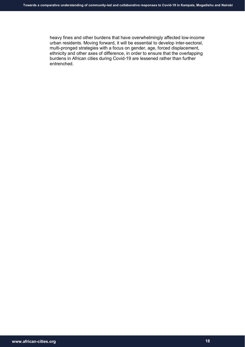heavy fines and other burdens that have overwhelmingly affected low-income urban residents. Moving forward, it will be essential to develop inter-sectoral, multi-pronged strategies with a focus on gender, age, forced displacement, ethnicity and other axes of difference, in order to ensure that the overlapping burdens in African cities during Covid-19 are lessened rather than further entrenched.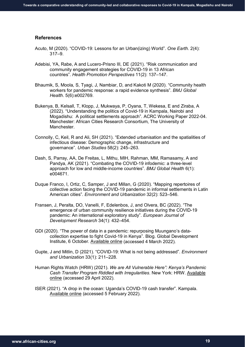#### **References**

- Acuto, M (2020). "COVID-19: Lessons for an Urban(izing) World". *One Earth.* 2(4): 317–9.
- Adebisi, YA, Rabe, A and Lucero-Prisno III, DE (2021). "Risk communication and community engagement strategies for COVID-19 in 13 African countries". *Health Promotion Perspectives* 11(2): 137–147.
- Bhaumik, S, Moola, S, Tyagi, J, Nambiar, D, and Kakoti M (2020). "Community health workers for pandemic response: a rapid evidence synthesis". *BMJ Global Health*. 5(6):e002769.
- Bukenya, B, Kelsall, T, Klopp, J, Mukwaya, P, Oyana, T, Wekesa, E and Ziraba, A (2022). "Understanding the politics of Covid-19 in Kampala, Nairobi and Mogadishu: A political settlements approach". ACRC Working Paper 2022-04. Manchester: African Cities Research Consortium, The University of Manchester.
- Connolly, C, Keil, R and Ali, SH (2021). "Extended urbanisation and the spatialities of infectious disease: Demographic change, infrastructure and governance". *Urban Studies* 58(2): 245–263.
- Dash, S, Parray, AA, De Freitas, L, Mithu, MIH, Rahman, MM, Ramasamy, A and Pandya, AK (2021). "Combating the COVID-19 infodemic: a three-level approach for low and middle-income countries". *BMJ Global Health* 6(1): e004671.
- Duque Franco, I, Ortiz, C, Samper, J and Millan, G (2020). "Mapping repertoires of collective action facing the COVID-19 pandemic in informal settlements in Latin American cities". *Environment and Urbanization* 32(2): 523–546.
- Fransen, J, Peralta, DO, Vanelli, F, Edelenbos, J, and Olvera, BC (2022). "The emergence of urban community resilience initiatives during the COVID-19 pandemic: An international exploratory study". *European Journal of Development Research* 34(1): 432–454.
- GDI (2020). "The power of data in a pandemic: repurposing Muungano's datacollection expertise to fight Covid-19 in Kenya". Blog. Global Development Institute, 6 October. [Available online](http://blog.gdi.manchester.ac.uk/the-power-of-data-in-a-pandemic/) (accessed 4 March 2022).
- Gupte, J and Mitlin, D (2021). "COVID-19: What is not being addressed". *Environment and Urbanization* 33(1): 211–228.
- Human Rights Watch (HRW) (2021). *We are All Vulnerable Here": Kenya's Pandemic Cash Transfer Program Riddled with Irregularities*. New York: HRW. [Available](https://www.hrw.org/report/2021/07/20/we-are-all-vulnerable-here/kenyas-pandemic-cash-transfer-program-riddled)  [online](https://www.hrw.org/report/2021/07/20/we-are-all-vulnerable-here/kenyas-pandemic-cash-transfer-program-riddled) (accessed 29 April 2022).
- ISER (2021). "A drop in the ocean: Uganda's COVID-19 cash transfer". Kampala. [Available online](https://www.iser-uganda.org/images/downloads/A_drop_in_the_ocean_-_Ugandas_Covid-19_cash_transfer.pdf) (accessed 5 February 2022).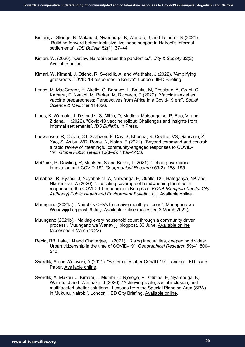- Kimani, J, Steege, R, Makau, J, Nyambuga, K, Wairutu, J, and Tolhurst, R (2021). "Building forward better: inclusive livelihood support in Nairobi's informal settlements". *IDS Bulletin* 52(1): 37–44.
- Kimari, W. (2020). "Outlaw Nairobi versus the pandemics". *City & Society* 32(2). [Available online.](https://doi.org/10.1111/ciso.12305)
- Kimari, W, Kimani, J, Otieno, R, Sverdlik, A, and Waithaka, J (2022). "Amplifying grassroots COVID-19 responses in Kenya". London: IIED Briefing.
- Leach, M, MacGregor, H, Akello, G, Babawo, L, Baluku, M, Desclaux, A, Grant, C, Kamara, F, Nyakoi, M, Parker, M, Richards, P (2022). "Vaccine anxieties, vaccine preparedness: Perspectives from Africa in a Covid-19 era". *Social Science & Medicine* 114826.
- Lines, K, Wamala, J, Dzimadzi, S, Mitlin, D, Mudimu-Matsangaise, P, Rao, V, and Zidana, H (2022). "Covid-19 vaccine rollout: Challenges and insights from informal settlements". *IDS Bulletin*, In Press.
- Loewenson, R, Colvin, CJ, Szabzon, F, Das, S, Khanna, R, Coelho, VS, Gansane, Z, Yao, S, Asibu, WD, Rome, N, Nolan, E (2021). "Beyond command and control: a rapid review of meaningful community-engaged responses to COVID-19". *Global Public Health* 16(8–9): 1439–1453.
- McGuirk, P, Dowling, R, Maalsen, S and Baker, T (2021). "Urban governance innovation and COVID-19". *Geographical Research* 59(2): 188–195.
- Mutabazi, R, Byansi, J, Ndyabakira, A, Nalwanga, E, Okello, DO, Bateganya, NK and Nkurunziza, A (2020). "Upscaling coverage of handwashing facilities in response to the COVID-19 pandemic in Kampala". *KCCA [Kampala Capital City Authority] Public Health and Environment Bulletin* 1(1). [Available online.](https://www.kcca.go.ug/media/docs/KCCA-DPHEBulletin_issue1.pdf)
- Muungano (2021a). "Nairobi's CHVs to receive monthly stipend". Muungano wa Wanavijiji blogpost, 9 July. [Available online](https://www.muungano.net/browseblogs/2021/8/5/arise-cross-post-nairobis-chvs-to-receive-monthly-stipend) (accessed 2 March 2022).
- Muungano (2021b). "Making every household count through a community driven process". Muungano wa Wanavijiji blogpost, 30 June. [Available online](https://www.muungano.net/browseblogs/2021/8/5/arise-cross-post-mathare-kiamutisyamaking-every-household-count-through-a-community-driven-process) (accessed 4 March 2022).
- Recio, RB, Lata, LN and Chatterjee, I. (2021). "Rising inequalities, deepening divides: Urban citizenship in the time of COVID-19". *Geographical Research* 59(4): 500– 513.
- Sverdlik, A and Walnycki, A (2021). "Better cities after COVID-19". London: IIED Issue Paper. [Available online.](https://pubs.iied.org/20241iied)
- Sverdlik, A, Makau, J, Kimani, J, Mumbi, C, Njoroge, P, Otibine, E, Nyambuga, K, Wairutu, J and Waithaka, J (2020). "Achieving scale, social inclusion, and multifaceted shelter solutions: Lessons from the Special Planning Area (SPA) in Mukuru, Nairobi". London: IIED City Briefing. [Available online.](https://pubs.iied.org/10884iied)